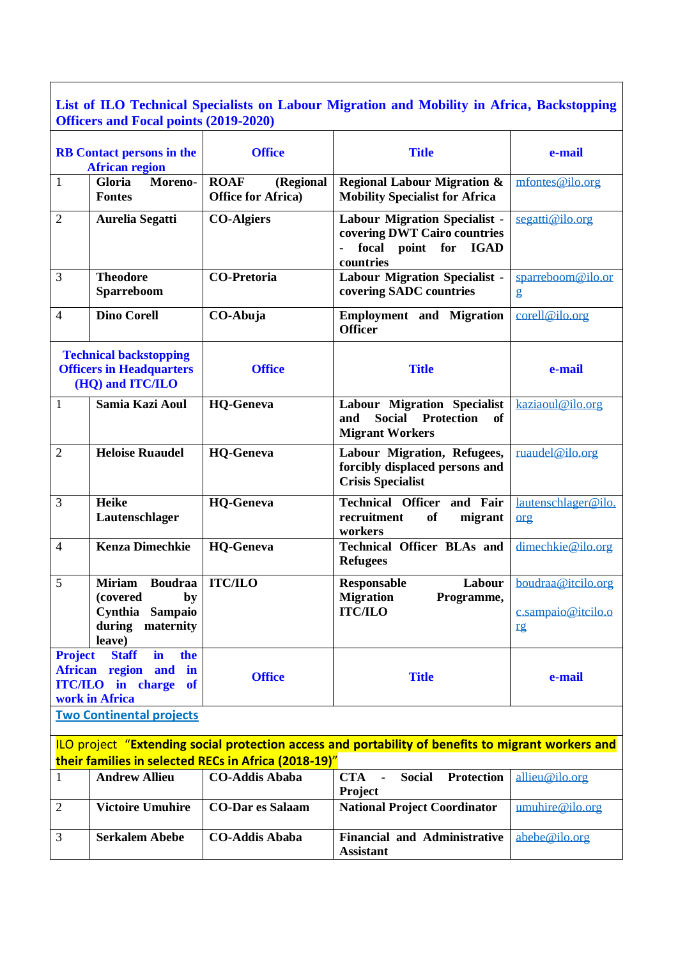## **List of ILO Technical Specialists on Labour Migration and Mobility in Africa, Backstopping Officers and Focal points (2019-2020)**

|                | <b>RB</b> Contact persons in the<br><b>African region</b>                                                 | <b>Office</b>                                          | <b>Title</b>                                                                                                        | e-mail                                         |
|----------------|-----------------------------------------------------------------------------------------------------------|--------------------------------------------------------|---------------------------------------------------------------------------------------------------------------------|------------------------------------------------|
| $\mathbf{1}$   | Moreno-<br>Gloria<br><b>Fontes</b>                                                                        | <b>ROAF</b><br>(Regional<br><b>Office for Africa</b> ) | <b>Regional Labour Migration &amp;</b><br><b>Mobility Specialist for Africa</b>                                     | mfontes@ilo.org                                |
| $\overline{2}$ | <b>Aurelia Segatti</b>                                                                                    | <b>CO-Algiers</b>                                      | <b>Labour Migration Specialist -</b><br>covering DWT Cairo countries<br>focal point for<br><b>IGAD</b><br>countries | segatti@ilo.org                                |
| 3              | <b>Theodore</b><br>Sparreboom                                                                             | <b>CO-Pretoria</b>                                     | <b>Labour Migration Specialist -</b><br>covering SADC countries                                                     | sparreboom@ilo.or<br>$\mathbf{g}$              |
| $\overline{4}$ | <b>Dino Corell</b>                                                                                        | CO-Abuja                                               | <b>Employment</b> and Migration<br><b>Officer</b>                                                                   | corell@ilo.org                                 |
|                | <b>Technical backstopping</b><br><b>Officers in Headquarters</b><br>(HQ) and ITC/ILO                      | <b>Office</b>                                          | <b>Title</b>                                                                                                        | e-mail                                         |
| $\mathbf{1}$   | Samia Kazi Aoul                                                                                           | <b>HQ-Geneva</b>                                       | Labour Migration Specialist<br><b>Social</b><br>Protection<br>and<br>of<br><b>Migrant Workers</b>                   | kaziaoul@ilo.org                               |
| $\overline{2}$ | <b>Heloise Ruaudel</b>                                                                                    | <b>HQ-Geneva</b>                                       | Labour Migration, Refugees,<br>forcibly displaced persons and<br><b>Crisis Specialist</b>                           | ruaudel@ilo.org                                |
| 3              | <b>Heike</b><br>Lautenschlager                                                                            | <b>HQ-Geneva</b>                                       | <b>Technical Officer and Fair</b><br>recruitment<br>migrant<br><b>of</b><br>workers                                 | lautenschlager@ilo.<br>org                     |
| $\overline{4}$ | <b>Kenza Dimechkie</b>                                                                                    | <b>HQ-Geneva</b>                                       | <b>Technical Officer BLAs and</b><br><b>Refugees</b>                                                                | dimechkie@ilo.org                              |
| 5              | <b>Miriam</b><br><b>Boudraa</b><br>(covered<br>by<br>Sampaio<br>Cynthia<br>during<br>maternity<br>leave)  | <b>ITC/ILO</b>                                         | Labour<br><b>Responsable</b><br><b>Migration</b><br>Programme,<br><b>ITC/ILO</b>                                    | boudraa@itcilo.org<br>c.sampaio@itcilo.o<br>rg |
| <b>Project</b> | <b>Staff</b><br>in<br>the<br>African region<br>and<br>in<br><b>ITC/ILO</b> in charge of<br>work in Africa | <b>Office</b>                                          | <b>Title</b>                                                                                                        | e-mail                                         |
|                | <b>Two Continental projects</b>                                                                           |                                                        |                                                                                                                     |                                                |
|                |                                                                                                           | their families in selected RECs in Africa (2018-19)"   | ILO project "Extending social protection access and portability of benefits to migrant workers and                  |                                                |
| $\mathbf{1}$   | <b>Andrew Allieu</b>                                                                                      | <b>CO-Addis Ababa</b>                                  | <b>CTA</b><br><b>Social</b><br><b>Protection</b><br>$\blacksquare$<br>Project                                       | allieu@ilo.org                                 |
| $\overline{2}$ | <b>Victoire Umuhire</b>                                                                                   | <b>CO-Dar es Salaam</b>                                | <b>National Project Coordinator</b>                                                                                 | umuhire@ilo.org                                |
| 3              | <b>Serkalem Abebe</b>                                                                                     | <b>CO-Addis Ababa</b>                                  | <b>Financial and Administrative</b><br><b>Assistant</b>                                                             | abebe@ilo.org                                  |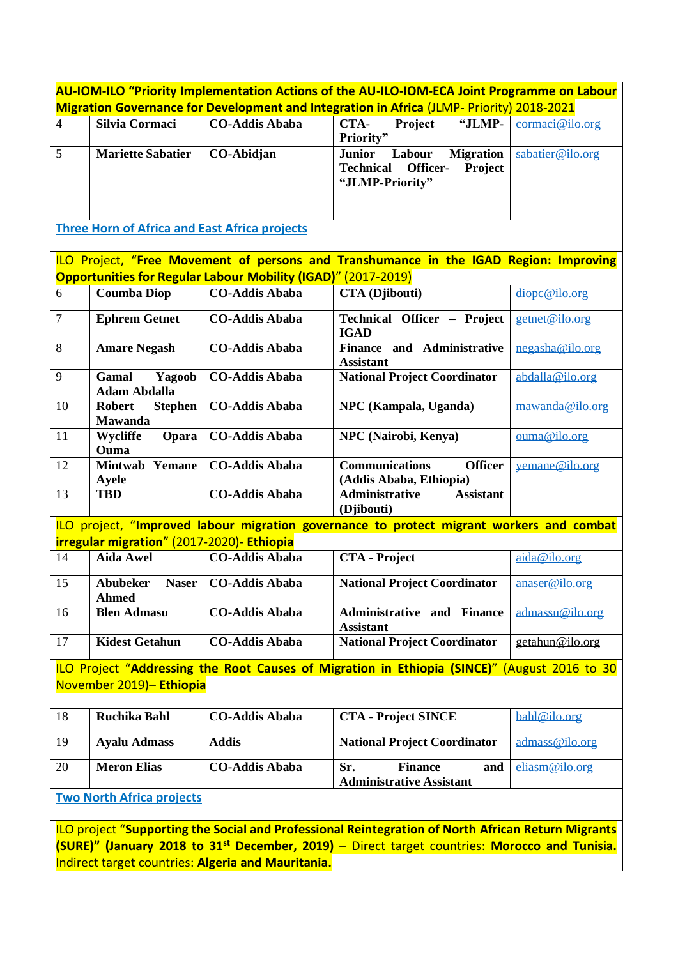**AU-IOM-ILO "Priority Implementation Actions of the AU-ILO-IOM-ECA Joint Programme on Labour Migration Governance for Development and Integration in Africa** (JLMP- Priority) 2018-2021

| $\overline{4}$ | <b>Silvia Cormaci</b>    | <b>CO-Addis Ababa</b> | CTA-<br>Project                   | "JLMP- $\text{cormaci@ilo.org}$                   |
|----------------|--------------------------|-----------------------|-----------------------------------|---------------------------------------------------|
|                |                          |                       | Priority"                         |                                                   |
|                | <b>Mariette Sabatier</b> | CO-Abidjan            | Labour<br>Junior                  | <b>Migration</b> $\sin \theta$ sabatier @ ilo.org |
|                |                          |                       | <b>Technical Officer- Project</b> |                                                   |
|                |                          |                       | "JLMP-Priority"                   |                                                   |
|                |                          |                       |                                   |                                                   |
|                |                          |                       |                                   |                                                   |

**Three Horn of Africa and East Africa projects**

ILO Project, "**Free Movement of persons and Transhumance in the IGAD Region: Improving Opportunities for Regular Labour Mobility (IGAD)**" (2017-2019)

| 6              | <b>Coumba Diop</b>                                | <b>CO-Addis Ababa</b> | <b>CTA</b> (Djibouti)                                                                 | dipc@ilo.org    |
|----------------|---------------------------------------------------|-----------------------|---------------------------------------------------------------------------------------|-----------------|
| $\overline{7}$ | <b>Ephrem Getnet</b>                              | <b>CO-Addis Ababa</b> | <b>Technical Officer</b><br><b>Project</b><br>$\overline{\phantom{a}}$<br><b>IGAD</b> | getnet@ilo.org  |
| 8              | <b>Amare Negash</b>                               | <b>CO-Addis Ababa</b> | and Administrative<br><b>Finance</b><br><b>Assistant</b>                              | negasha@ilo.org |
| 9              | Gamal<br>Yagoob<br><b>Adam Abdalla</b>            | <b>CO-Addis Ababa</b> | <b>National Project Coordinator</b>                                                   | abdalla@ilo.org |
| 10             | <b>Stephen</b><br><b>Robert</b><br><b>Mawanda</b> | <b>CO-Addis Ababa</b> | NPC (Kampala, Uganda)                                                                 | mawanda@ilo.org |
| 11             | Wycliffe<br><b>Opara</b><br>Ouma                  | <b>CO-Addis Ababa</b> | <b>NPC</b> (Nairobi, Kenya)                                                           | ouma@ilo.org    |
| 12             | <b>Mintwab</b><br><b>Yemane</b><br>Ayele          | <b>CO-Addis Ababa</b> | <b>Communications</b><br><b>Officer</b><br>(Addis Ababa, Ethiopia)                    | yemane@ilo.org  |
| 13             | <b>TBD</b>                                        | <b>CO-Addis Ababa</b> | <b>Administrative</b><br><b>Assistant</b><br>(Djibouti)                               |                 |

ILO project, "**Improved labour migration governance to protect migrant workers and combat irregular migration**" (2017-2020)- **Ethiopia**

| 14 | <b>Aida Awel</b>                  | <b>CO-Addis Ababa</b> | <b>CTA</b> - Project                                  | aida@ilo.org    |
|----|-----------------------------------|-----------------------|-------------------------------------------------------|-----------------|
| 15 | <b>Naser</b><br>Abubeker<br>Ahmed | CO-Addis Ababa        | <b>National Project Coordinator</b>                   | anser@ilo.org   |
| 16 | <b>Blen Admasu</b>                | <b>CO-Addis Ababa</b> | <b>Administrative and Finance</b><br><b>Assistant</b> | admassu@ilo.org |
| 17 | Kidest Getahun                    | <b>CO-Addis Ababa</b> | <b>National Project Coordinator</b>                   | getahun@ilo.org |

ILO Project "**Addressing the Root Causes of Migration in Ethiopia (SINCE)**" (August 2016 to 30 November 2019)– **Ethiopia**

| 18  | Ruchika Bahl        | <b>CO-Addis Ababa</b> | <b>CTA</b> - Project SINCE                                      | bahl@ilo.org   |
|-----|---------------------|-----------------------|-----------------------------------------------------------------|----------------|
| -19 | <b>Ayalu Admass</b> | <b>Addis</b>          | <b>National Project Coordinator</b>                             | admass@ilo.org |
| 20  | <b>Meron Elias</b>  | <b>CO-Addis Ababa</b> | Sr.<br><b>Finance</b><br>and<br><b>Administrative Assistant</b> | eliasm@ilo.org |

**Two North Africa projects**

ILO project "**Supporting the Social and Professional Reintegration of North African Return Migrants (SURE)" (January 2018 to 31st December, 2019)** – Direct target countries: **Morocco and Tunisia.**  Indirect target countries: **Algeria and Mauritania.**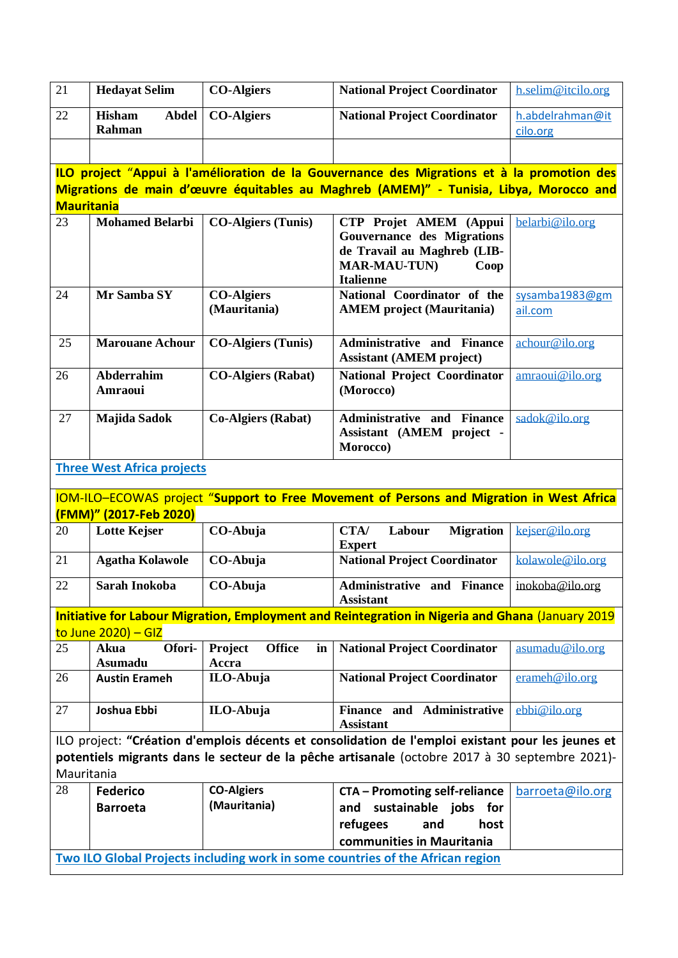| 21                | <b>Hedayat Selim</b>                    | <b>CO-Algiers</b>                       | <b>National Project Coordinator</b>                                                                                                           | h.selim@itcilo.org           |
|-------------------|-----------------------------------------|-----------------------------------------|-----------------------------------------------------------------------------------------------------------------------------------------------|------------------------------|
| 22                | <b>Hisham</b><br><b>Abdel</b><br>Rahman | <b>CO-Algiers</b>                       | <b>National Project Coordinator</b>                                                                                                           | h.abdelrahman@it<br>cilo.org |
|                   |                                         |                                         |                                                                                                                                               |                              |
|                   |                                         |                                         | ILO project "Appui à l'amélioration de la Gouvernance des Migrations et à la promotion des                                                    |                              |
|                   |                                         |                                         | Migrations de main d'œuvre équitables au Maghreb (AMEM)" - Tunisia, Libya, Morocco and                                                        |                              |
| <b>Mauritania</b> |                                         |                                         |                                                                                                                                               |                              |
| 23                | <b>Mohamed Belarbi</b>                  | <b>CO-Algiers (Tunis)</b>               | CTP Projet AMEM (Appui<br><b>Gouvernance des Migrations</b><br>de Travail au Maghreb (LIB-<br><b>MAR-MAU-TUN)</b><br>Coop<br><b>Italienne</b> | belarbi@ilo.org              |
| 24                | Mr Samba SY                             | <b>CO-Algiers</b><br>(Mauritania)       | National Coordinator of the<br><b>AMEM</b> project (Mauritania)                                                                               | sysamba1983@gm<br>ail.com    |
| 25                | <b>Marouane Achour</b>                  | <b>CO-Algiers (Tunis)</b>               | <b>Administrative and Finance</b><br><b>Assistant (AMEM project)</b>                                                                          | achour@ilo.org               |
| 26                | Abderrahim<br>Amraoui                   | <b>CO-Algiers (Rabat)</b>               | <b>National Project Coordinator</b><br>(Morocco)                                                                                              | amraoui@ilo.org              |
| 27                | Majida Sadok                            | <b>Co-Algiers (Rabat)</b>               | <b>Administrative and Finance</b><br>Assistant (AMEM project -<br>Morocco)                                                                    | sadok@ilo.org                |
|                   | <b>Three West Africa projects</b>       |                                         |                                                                                                                                               |                              |
|                   |                                         |                                         | IOM-ILO-ECOWAS project "Support to Free Movement of Persons and Migration in West Africa                                                      |                              |
|                   | (FMM)" (2017-Feb 2020)                  |                                         |                                                                                                                                               |                              |
| 20                | <b>Lotte Kejser</b>                     | CO-Abuja                                | CTA/<br>Labour<br><b>Migration</b><br><b>Expert</b>                                                                                           | kejser@ilo.org               |
| 21                | <b>Agatha Kolawole</b>                  | CO-Abuja                                | <b>National Project Coordinator</b>                                                                                                           | kolawole@ilo.org             |
| 22                | Sarah Inokoba                           | CO-Abuja                                | Administrative and Finance   inokoba@ilo.org<br><b>Assistant</b>                                                                              |                              |
|                   |                                         |                                         | Initiative for Labour Migration, Employment and Reintegration in Nigeria and Ghana (January 2019                                              |                              |
|                   | to June $2020$ ) – GIZ                  |                                         |                                                                                                                                               |                              |
| 25                | Akua<br>Ofori-<br>Asumadu               | <b>Office</b><br>Project<br>in<br>Accra | <b>National Project Coordinator</b>                                                                                                           | asumadu@ilo.org              |
| 26                | <b>Austin Erameh</b>                    | ILO-Abuja                               | <b>National Project Coordinator</b>                                                                                                           | erameh@ilo.org               |
| 27                | Joshua Ebbi                             | ILO-Abuja                               | Finance and Administrative<br><b>Assistant</b>                                                                                                | ebbi@ilo.org                 |
|                   |                                         |                                         | ILO project: "Création d'emplois décents et consolidation de l'emploi existant pour les jeunes et                                             |                              |
| Mauritania        |                                         |                                         | potentiels migrants dans le secteur de la pêche artisanale (octobre 2017 à 30 septembre 2021)-                                                |                              |
| 28                | <b>Federico</b>                         | <b>CO-Algiers</b>                       | <b>CTA - Promoting self-reliance</b>                                                                                                          | barroeta@ilo.org             |
|                   | <b>Barroeta</b>                         | (Mauritania)                            | sustainable jobs for<br>and                                                                                                                   |                              |
|                   |                                         |                                         | refugees<br>and<br>host                                                                                                                       |                              |
|                   |                                         |                                         | communities in Mauritania                                                                                                                     |                              |
|                   |                                         |                                         |                                                                                                                                               |                              |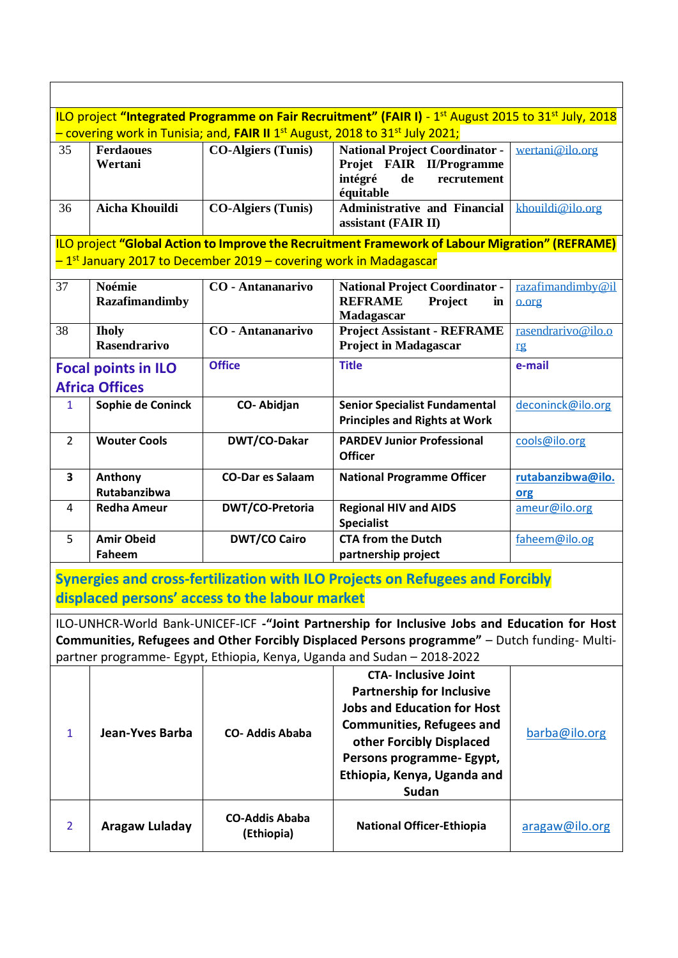| <b>ILO project "Integrated Programme on Fair Recruitment" (FAIR I)</b> - $1^{st}$ August 2015 to 31 <sup>st</sup> July, 2018 |  |
|------------------------------------------------------------------------------------------------------------------------------|--|
| $-$ covering work in Tunisia; and, FAIR II 1 <sup>st</sup> August, 2018 to 31 <sup>st</sup> July 2021;                       |  |

| 35 | <b>Ferdaoues</b><br>Wertani | <b>CO-Algiers (Tunis)</b> | <b>National Project Coordinator -   wertani@ilo.org</b><br>Projet FAIR II/Programme |  |
|----|-----------------------------|---------------------------|-------------------------------------------------------------------------------------|--|
|    |                             |                           | intégré<br>de<br>recrutement<br>équitable                                           |  |
| 36 | Aicha Khouildi              | <b>CO-Algiers (Tunis)</b> | Administrative and Financial khouildi@ilo.org<br>assistant (FAIR II)                |  |

ILO project **"Global Action to Improve the Recruitment Framework of Labour Migration" (REFRAME)** – 1<sup>st</sup> January 2017 to December 2019 – covering work in Madagascar

| 37             | Noémie                     | <b>CO</b> - Antananarivo | <b>National Project Coordinator -</b>  | razafimandimby@il  |
|----------------|----------------------------|--------------------------|----------------------------------------|--------------------|
|                | <b>Razafimandimby</b>      |                          | <b>REFRAME</b><br><b>Project</b><br>in | o.org              |
|                |                            |                          | Madagascar                             |                    |
| 38             | <b>Iholy</b>               | <b>CO</b> - Antananarivo | <b>Project Assistant - REFRAME</b>     | rasendrarivo@ilo.o |
|                | <b>Rasendrarivo</b>        |                          | <b>Project in Madagascar</b>           | rg                 |
|                | <b>Focal points in ILO</b> | <b>Office</b>            | <b>Title</b>                           | e-mail             |
|                | <b>Africa Offices</b>      |                          |                                        |                    |
| 1              | Sophie de Coninck          | <b>CO-Abidjan</b>        | <b>Senior Specialist Fundamental</b>   | deconinck@ilo.org  |
|                |                            |                          | <b>Principles and Rights at Work</b>   |                    |
| $\overline{2}$ | <b>Wouter Cools</b>        | DWT/CO-Dakar             | <b>PARDEV Junior Professional</b>      | cools@ilo.org      |
|                |                            |                          | <b>Officer</b>                         |                    |
| $\mathbf{3}$   | Anthony                    | <b>CO-Dar es Salaam</b>  | <b>National Programme Officer</b>      | rutabanzibwa@ilo.  |
|                | Rutabanzibwa               |                          |                                        | org                |
| 4              | <b>Redha Ameur</b>         | <b>DWT/CO-Pretoria</b>   | <b>Regional HIV and AIDS</b>           | ameur@ilo.org      |
|                |                            |                          | <b>Specialist</b>                      |                    |
| 5              | <b>Amir Obeid</b>          | <b>DWT/CO Cairo</b>      | <b>CTA from the Dutch</b>              | faheem@ilo.og      |
|                | Faheem                     |                          | partnership project                    |                    |

**Synergies and cross-fertilization with ILO Projects on Refugees and Forcibly displaced persons' access to the labour market**

ILO-UNHCR-World Bank-UNICEF-ICF **-"Joint Partnership for Inclusive Jobs and Education for Host Communities, Refugees and Other Forcibly Displaced Persons programme"** – Dutch funding- Multipartner programme- Egypt, Ethiopia, Kenya, Uganda and Sudan – 2018-2022

|   | Jean-Yves Barba | <b>CO- Addis Ababa</b>              | <b>CTA-Inclusive Joint</b><br><b>Partnership for Inclusive</b><br><b>Jobs and Education for Host</b><br><b>Communities, Refugees and</b><br>other Forcibly Displaced<br>Persons programme- Egypt,<br>Ethiopia, Kenya, Uganda and<br>Sudan | barba@ilo.org  |
|---|-----------------|-------------------------------------|-------------------------------------------------------------------------------------------------------------------------------------------------------------------------------------------------------------------------------------------|----------------|
| 2 | Aragaw Luladay  | <b>CO-Addis Ababa</b><br>(Ethiopia) | <b>National Officer-Ethiopia</b>                                                                                                                                                                                                          | aragaw@ilo.org |